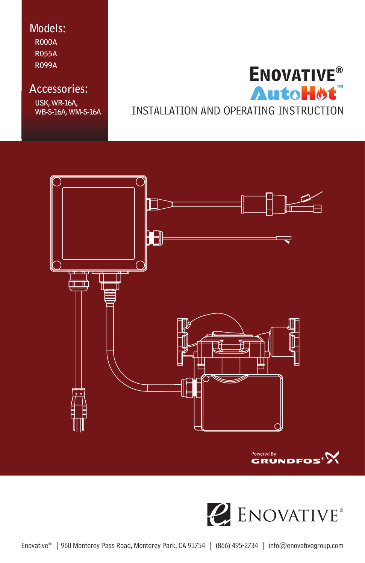## **Models:**

**R000A R055A R099A**

## **Accessories:**

**USK, WR-16A, WB-S-16A, WM-S-16A**

## **ENOVATIVE®** AutoH&t™ INSTALLATION AND OPERATING INSTRUCTION



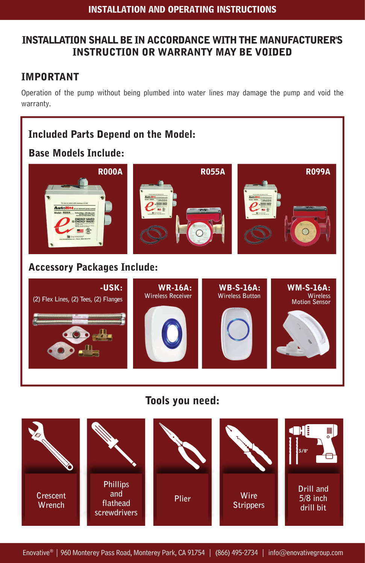#### **INSTALLATION SHALL BE IN ACCORDANCE WITH THE MANUFACTURER'S INSTRUCTION OR WARRANTY MAY BE VOIDED**

### **IMPORTANT**

Operation of the pump without being plumbed into water lines may damage the pump and void the warranty.

## **Included Parts Depend on the Model: Base Models Include: R000A R055A R099A** Auto Children: 1300 60% 2.15<br>Max Wales Beng Chil Collab ENERGY SAVED **Accessory Packages Include:**  $-USK<sub>2</sub>$ **WR-16A: WB-S-16A: WM-S-16A: Wireless Receiver Wireless Button** Wireless (2) Flex Lines, (2) Tees, (2) Flanges **Motion Sensor**

## Tools you need:

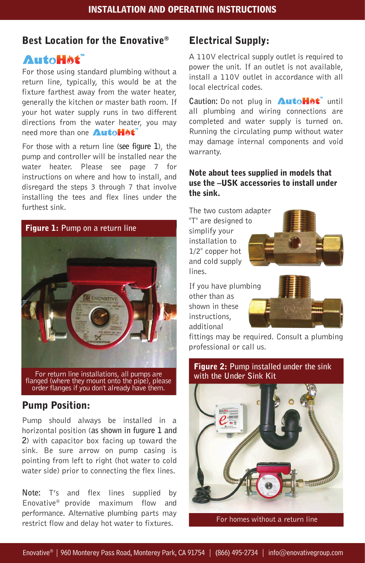# Best Location for the Enovative®<br>AutoHMt™

For those using standard plumbing without a return line, typically, this would be at the fixture farthest away from the water heater, generally the kitchen or master bath room. If your hot water supply runs in two different directions from the water heater, you may need more than one **AutoHMt** 

For those with a return line (**see figure 1**), the pump and controller will be installed near the water heater. Please see page 7 for instructions on where and how to install, and disregard the steps 3 through 7 that involve installing the tees and flex lines under the furthest sink.



For return line installations, all pumps are flanged (where they mount onto the pipe), please order flanges if you don't already have them.

#### Pump Position:

Pump should always be installed in a horizontal position (**as shown in fugure 1 and 2**) with capacitor box facing up toward the sink. Be sure arrow on pump casing is pointing from left to right (hot water to cold water side) prior to connecting the flex lines.

**Note:** T's and flex lines supplied by Enovative® provide maximum flow and performance. Alternative plumbing parts may restrict flow and delay hot water to fixtures.

## Electrical Supply:

A 110V electrical supply outlet is required to power the unit. If an outlet is not available, install a 110V outlet in accordance with all local electrical codes.

**Caution:** Do not plug in **AutoHot** until all plumbing and wiring connections are completed and water supply is turned on. Running the circulating pump without water may damage internal components and void warranty.

#### Note about tees supplied in models that use the –USK accessories to install under the sink.

The two custom adapter "T" are designed to simplify your installation to 1/2" copper hot and cold supply lines.



If you have plumbing other than as shown in these instructions, additional



fittings may be required. Consult a plumbing professional or call us.

Figure 2: **Pump installed under the sink with the Under Sink Kit**



For homes without a return line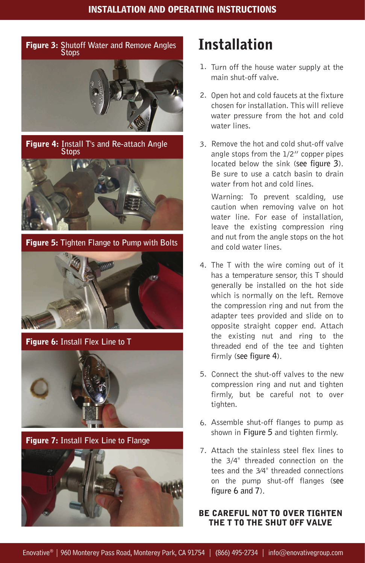

Figure 4: **Install T's and Re-attach Angle Stops**



Figure 5: **Tighten Flange to Pump with Bolts**



Figure 6: **Install Flex Line to T**



Figure 7: **Install Flex Line to Flange**



- 1. Turn off the house water supply at the main shut-off valve.
- 2. Open hot and cold faucets at the fixture chosen for installation. This will relieve water pressure from the hot and cold water lines.
- 3. Remove the hot and cold shut-off valve angle stops from the 1/2" copper pipes located below the sink (**see figure 3**). Be sure to use a catch basin to drain water from hot and cold lines.

Warning: To prevent scalding, use caution when removing valve on hot water line. For ease of installation, leave the existing compression ring and nut from the angle stops on the hot and cold water lines.

- 4. The T with the wire coming out of it has a temperature sensor, this T should generally be installed on the hot side which is normally on the left. Remove the compression ring and nut from the adapter tees provided and slide on to opposite straight copper end. Attach the existing nut and ring to the threaded end of the tee and tighten firmly (**see figure 4**).
- 5. Connect the shut-off valves to the new compression ring and nut and tighten firmly, but be careful not to over tighten.
- 6. Assemble shut-off flanges to pump as shown in **Figure 5** and tighten firmly.
- 7. Attach the stainless steel flex lines to the 3/4" threaded connection on the tees and the 3⁄4" threaded connections on the pump shut-off flanges (**see figure 6 and 7**).

#### BE CAREFUL NOT TO OVER TIGHTEN THE T TO THE SHUT OFF VALVE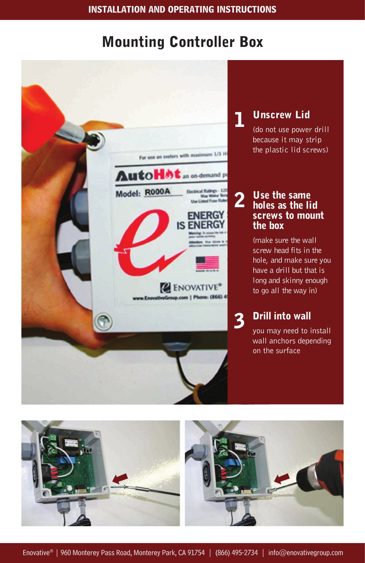## Mounting Controller Box



## Unscrew Lid

1

(do not use power drill because it may strip the plastic lid screws)

## 2 Use the same holes as the lid screws to mount the box

(make sure the wall screw head fits in the hole, and make sure you have a drill but that is long and skinny enough to go all the way in)

## 3 Drill into wall

you may need to install wall anchors depending on the surface

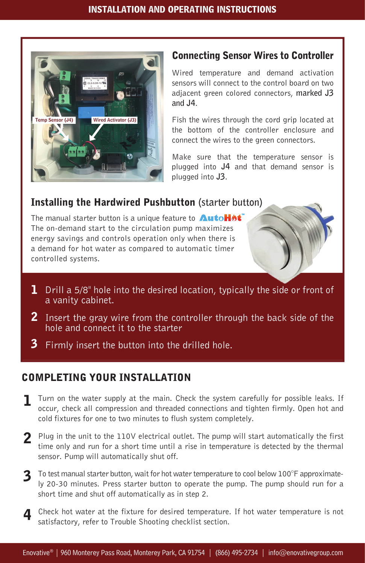

#### Connecting Sensor Wires to Controller

Wired temperature and demand activation sensors will connect to the control board on two adjacent green colored connectors, **marked J3 and J4**.

Fish the wires through the cord grip located at the bottom of the controller enclosure and connect the wires to the green connectors.

Make sure that the temperature sensor is plugged into **J4** and that demand sensor is plugged into **J3**.

## Installing the Hardwired Pushbutton **(starter button)**

The manual starter button is a unique feature to  $\bigwedge^{\bullet}$ uto $\bigwedge^{\bullet}$ The on-demand start to the circulation pump maximizes energy savings and controls operation only when there is a demand for hot water as compared to automatic timer controlled systems.

- $\bf 1$  Drill a 5/8" hole into the desired location, typically the side or front of a vanity cabinet.
- $2$  Insert the gray wire from the controller through the back side of the hole and connect it to the starter
- $\,$  Firmly insert the button into the drilled hole.

## COMPLETING YOUR INSTALLATION

- **1** Turn on the water supply at the main. Check the system carefully for possible leaks. If occur, check all compression and threaded connections and tighten firmly. Open hot and cold fixtures for one to two minutes to flush system completely.
- 2 Plug in the unit to the 110V electrical outlet. The pump will start automatically the first<br>time only and run for a chert time until a rice in temperature is detected by the thermal time only and run for a short time until a rise in temperature is detected by the thermal sensor. Pump will automatically shut off.
- $3$  To test manual starter button, wait for hot water temperature to cool below  $100^\circ$ F approximate-<br>Ly 20, 30 minutes. Bress starter button to energte the nume. The nume should run for a ly 20-30 minutes. Press starter button to operate the pump. The pump should run for a short time and shut off automatically as in step 2.
- 4 Check hot water at the fixture for desired temperature. If hot water temperature is not satisfactory, refer to Trouble Shooting checklist section.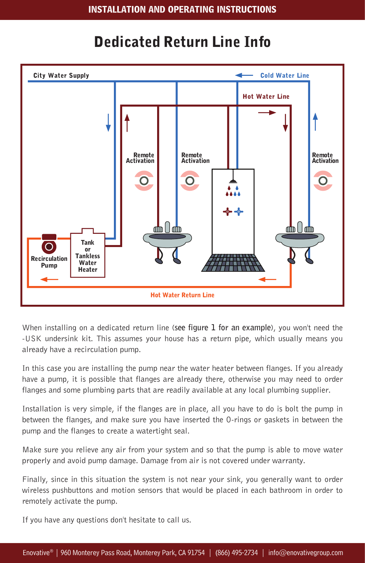## Dedicated Return Line Info



When installing on a dedicated return line (**see figure 1 for an example**), you won't need the -USK undersink kit. This assumes your house has a return pipe, which usually means you already have a recirculation pump.

In this case you are installing the pump near the water heater between flanges. If you already have a pump, it is possible that flanges are already there, otherwise you may need to order flanges and some plumbing parts that are readily available at any local plumbing supplier.

Installation is very simple, if the flanges are in place, all you have to do is bolt the pump in between the flanges, and make sure you have inserted the O-rings or gaskets in between the pump and the flanges to create a watertight seal.

Make sure you relieve any air from your system and so that the pump is able to move water properly and avoid pump damage. Damage from air is not covered under warranty.

Finally, since in this situation the system is not near your sink, you generally want to order wireless pushbuttons and motion sensors that would be placed in each bathroom in order to remotely activate the pump.

If you have any questions don't hesitate to call us.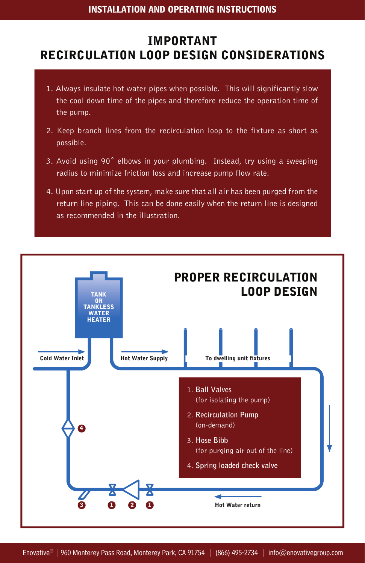## IMPORTANT RECIRCULATION LOOP DESIGN CONSIDERATIONS

- 1. Always insulate hot water pipes when possible. This will significantly slow the cool down time of the pipes and therefore reduce the operation time of the pump.
- 2. Keep branch lines from the recirculation loop to the fixture as short as possible.
- 3. Avoid using 90˚ elbows in your plumbing. Instead, try using a sweeping radius to minimize friction loss and increase pump flow rate.
- 4. Upon start up of the system, make sure that all air has been purged from the return line piping. This can be done easily when the return line is designed as recommended in the illustration.

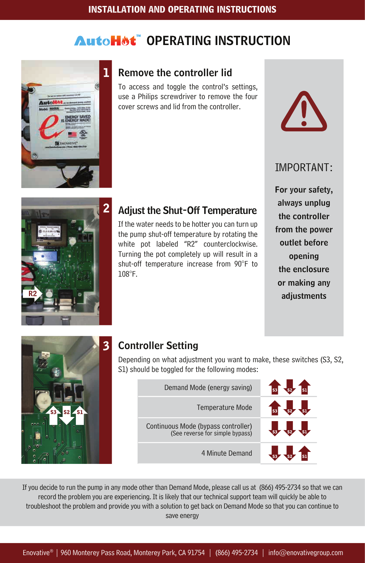## **AutoHAt**" OPERATING INSTRUCTION



#### Remove the controller lid

To access and toggle the control's settings. use a Philips screwdriver to remove the four cover screws and lid from the controller.



## IMPORTANT:



## Adjust the Shut-Off Temperature

If the water needs to be hotter you can turn up the pump shut-off temperature by rotating the white pot labeled "R2" counterclockwise. Turning the pot completely up will result in a shut-off temperature increase from 90°F to 108°F.

## For your safety, always unplug the controller from the power outlet before opening the enclosure or making any adiustments



## **Controller Setting**

Depending on what adjustment you want to make, these switches (S3, S2, S1) should be toggled for the following modes:

| Demand Mode (energy saving)                                            | $\vert_{s_2}$<br>$\overline{\text{}}$ <sub>53</sub> |
|------------------------------------------------------------------------|-----------------------------------------------------|
| <b>Temperature Mode</b>                                                | $s_3$ $s_2$ $s_1$                                   |
| Continuous Mode (bypass controller)<br>(See reverse for simple bypass) | $\frac{1}{s^2}$                                     |
| 4 Minute Demand                                                        | l<br>S2                                             |

If you decide to run the pump in any mode other than Demand Mode, please call us at (866) 495-2734 so that we can record the problem you are experiencing. It is likely that our technical support team will quickly be able to troubleshoot the problem and provide you with a solution to get back on Demand Mode so that you can continue to save energy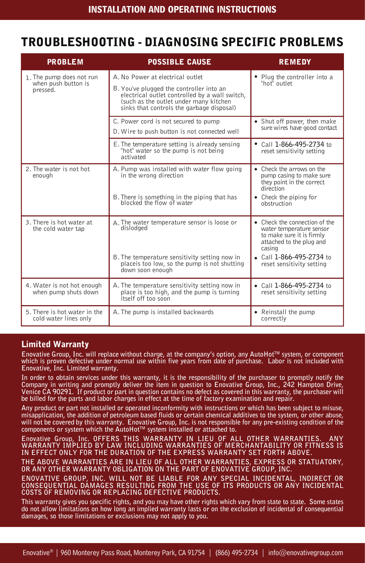## TROUBLESHOOTING - DIAGNOSING SPECIFIC PROBLEMS

| <b>PROBLEM</b>                                              | <b>POSSIBLE CAUSE</b>                                                                                                                                                                                                  | <b>REMEDY</b>                                                                                                                                                                         |
|-------------------------------------------------------------|------------------------------------------------------------------------------------------------------------------------------------------------------------------------------------------------------------------------|---------------------------------------------------------------------------------------------------------------------------------------------------------------------------------------|
| 1. The pump does not run<br>when push button is<br>pressed. | A. No Power at electrical outlet.<br>B. You've plugged the controller into an<br>electrical outlet controlled by a wall switch,<br>(such as the outlet under many kitchen<br>sinks that controls the garbage disposal) | Plug the controller into a<br>٠<br>"hot" outlet                                                                                                                                       |
|                                                             | C. Power cord is not secured to pump<br>D. Wire to push button is not connected well                                                                                                                                   | • Shut off power, then make<br>sure wires have good contact                                                                                                                           |
|                                                             | E. The temperature setting is already sensing<br>"hot" water so the pump is not being<br>activated                                                                                                                     | • Call 1-866-495-2734 to<br>reset sensitivity setting                                                                                                                                 |
| 2. The water is not hot<br>enough                           | A. Pump was installed with water flow going<br>in the wrong direction<br>B. There is something in the piping that has<br>blocked the flow of water                                                                     | • Check the arrows on the<br>pump casing to make sure<br>they point in the correct<br>direction<br>• Check the piping for<br>obstruction                                              |
| 3. There is hot water at<br>the cold water tap              | A. The water temperature sensor is loose or<br>dislodged<br>B. The temperature sensitivity setting now in<br>placeis too low, so the pump is not shutting<br>down soon enough                                          | • Check the connection of the<br>water temperature sensor<br>to make sure it is firmly<br>attached to the plug and<br>casing<br>• Call 1-866-495-2734 to<br>reset sensitivity setting |
| 4. Water is not hot enough<br>when pump shuts down          | A. The temperature sensitivity setting now in<br>place is too high, and the pump is turning<br>itself off too soon                                                                                                     | • Call 1-866-495-2734 to<br>reset sensitivity setting                                                                                                                                 |
| 5. There is hot water in the<br>cold water lines only       | A. The pump is installed backwards                                                                                                                                                                                     | • Reinstall the pump<br>correctly                                                                                                                                                     |

#### Limited Warranty

**Enovative Group, Inc. will replace without charge, at the company's option, any AutoHotTM system, or component**  which is proven defective under normal use within five years from date of purchase. Labor is not included with **Enovative, Inc. Limited warranty.** 

In order to obtain services under this warranty, it is the responsibility of the purchaser to promptly notify the<br>Company in writing and promptly deliver the item in question to Enovative Group, Inc., 242 Hampton Drive, **Venice CA 90291. If product or part in question contains no defect as covered in this warranty, the purchaser will be billed for the parts and labor charges in effect at the time of factory examination and repair.** 

**Any product or part not installed or operated inconformity with instructions or which has been subject to misuse, misapplication, the addition of petroleum based fluids or certain chemical additives to the system, or other abuse, will not be covered by this warranty. Enovative Group, Inc. is not responsible for any pre-existing condition of the components or system which the AutoHotTM system installed or attached to.** 

**Enovative Group, Inc. OFFERS THIS WARRANTY IN LIEU OF ALL OTHER WARRANTIES. ANY WARRANTY IMPLIED BY LAW INCLUDING WARRANTIES OF MERCHANTABILITY OR FITNESS IS IN EFFECT ONLY FOR THE DURATION OF THE EXPRESS WARRANTY SET FORTH ABOVE.** 

**THE ABOVE WARRANTIES ARE IN LIEU OF ALL OTHER WARRANTIES, EXPRESS OR STATUATORY, OR ANY OTHER WARRANTY OBLIGATION ON THE PART OF ENOVATIVE GROUP, INC.** 

**ENOVATIVE GROUP, INC. WILL NOT BE LIABLE FOR ANY SPECIAL INCIDENTAL, INDIRECT OR CONSEQUENTIAL DAMAGES RESULTING FROM THE USE OF ITS PRODUCTS OR ANY INCIDENTAL COSTS OF REMOVING OR REPLACING DEFECTIVE PRODUCTS.**

**This warranty gives you specific rights, and you may have other rights which vary from state to state. Some states do not allow limitations on how long an implied warranty lasts or on the exclusion of incidental of consequential damages, so those limitations or exclusions may not apply to you.**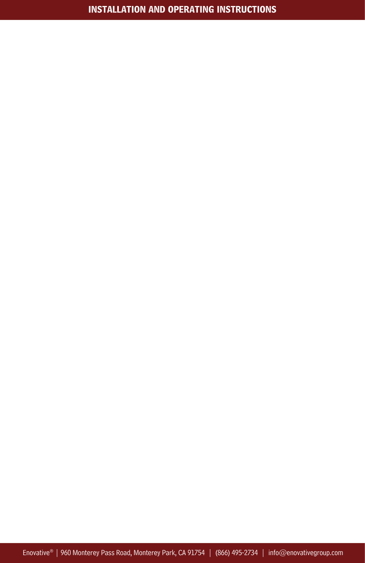Enovative® | 960 Monterey Pass Road, Monterey Park, CA 91754 | (866) 495-2734 | info@enovativegroup.com